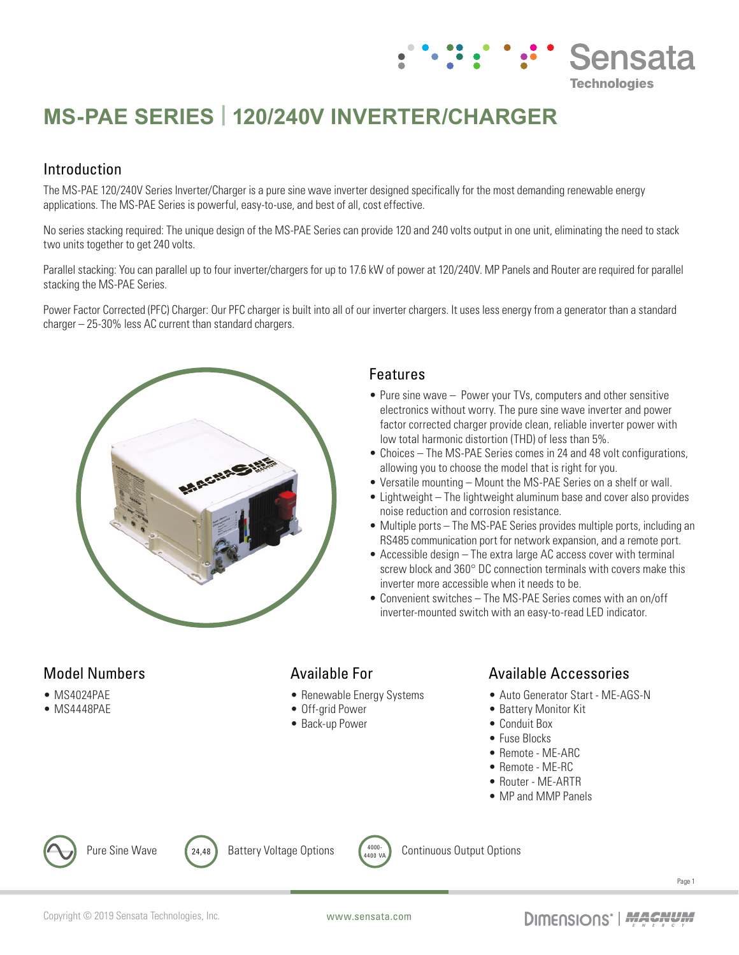# **MS-PAE SERIES | 120/240V INVERTER/CHARGER**

## Introduction

The MS-PAE 120/240V Series Inverter/Charger is a pure sine wave inverter designed specifically for the most demanding renewable energy applications. The MS-PAE Series is powerful, easy-to-use, and best of all, cost effective.

No series stacking required: The unique design of the MS-PAE Series can provide 120 and 240 volts output in one unit, eliminating the need to stack two units together to get 240 volts.

Parallel stacking: You can parallel up to four inverter/chargers for up to 17.6 kW of power at 120/240V. MP Panels and Router are required for parallel stacking the MS-PAE Series.

Power Factor Corrected (PFC) Charger: Our PFC charger is built into all of our inverter chargers. It uses less energy from a generator than a standard charger – 25-30% less AC current than standard chargers.



#### Features

• Pure sine wave – Power your TVs, computers and other sensitive electronics without worry. The pure sine wave inverter and power factor corrected charger provide clean, reliable inverter power with low total harmonic distortion (THD) of less than 5%.

**::: Sensata** 

**Technologies** 

- Choices The MS-PAE Series comes in 24 and 48 volt configurations. allowing you to choose the model that is right for you.
- Versatile mounting Mount the MS-PAE Series on a shelf or wall.
- Lightweight The lightweight aluminum base and cover also provides noise reduction and corrosion resistance.
- Multiple ports The MS-PAE Series provides multiple ports, including an RS485 communication port for network expansion, and a remote port.
- Accessible design The extra large AC access cover with terminal screw block and 360° DC connection terminals with covers make this inverter more accessible when it needs to be.
- Convenient switches The MS-PAE Series comes with an on/off inverter-mounted switch with an easy-to-read LED indicator.

# Model Numbers

- MS4024PAE
- MS4448PAE

### Available For

- Renewable Energy Systems
- Off-grid Power
- Back-up Power

### Available Accessories

- Auto Generator Start ME-AGS-N
- Battery Monitor Kit
- Conduit Box
- Fuse Blocks
- Remote ME-ARC
- Remote ME-RC
- Router ME-ARTR
- MP and MMP Panels



Pure Sine Wave  $\left(24,48\right)$  Battery Voltage Options  $\left(4000\right)$ 



Continuous Output Options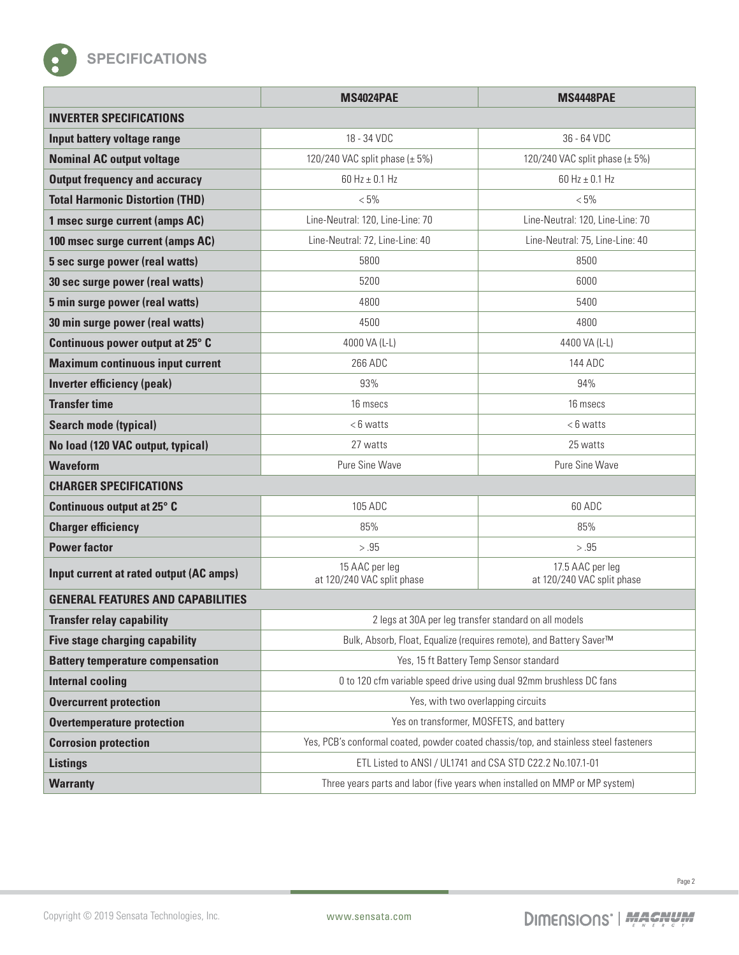

|                                          | <b>MS4024PAE</b>                                                                      | <b>MS4448PAE</b>                               |  |
|------------------------------------------|---------------------------------------------------------------------------------------|------------------------------------------------|--|
| <b>INVERTER SPECIFICATIONS</b>           |                                                                                       |                                                |  |
| Input battery voltage range              | 18 - 34 VDC                                                                           | 36 - 64 VDC                                    |  |
| <b>Nominal AC output voltage</b>         | 120/240 VAC split phase $(\pm 5\%)$                                                   | 120/240 VAC split phase $(\pm 5\%)$            |  |
| <b>Output frequency and accuracy</b>     | 60 Hz $\pm$ 0.1 Hz                                                                    | 60 Hz $\pm$ 0.1 Hz                             |  |
| <b>Total Harmonic Distortion (THD)</b>   | $< 5\%$                                                                               | $< 5\%$                                        |  |
| 1 msec surge current (amps AC)           | Line-Neutral: 120, Line-Line: 70                                                      | Line-Neutral: 120, Line-Line: 70               |  |
| 100 msec surge current (amps AC)         | Line-Neutral: 72, Line-Line: 40                                                       | Line-Neutral: 75, Line-Line: 40                |  |
| 5 sec surge power (real watts)           | 5800                                                                                  | 8500                                           |  |
| 30 sec surge power (real watts)          | 5200                                                                                  | 6000                                           |  |
| 5 min surge power (real watts)           | 4800                                                                                  | 5400                                           |  |
| 30 min surge power (real watts)          | 4500                                                                                  | 4800                                           |  |
| Continuous power output at 25° C         | 4000 VA (L-L)                                                                         | 4400 VA (L-L)                                  |  |
| <b>Maximum continuous input current</b>  | 266 ADC                                                                               | 144 ADC                                        |  |
| Inverter efficiency (peak)               | 93%                                                                                   | 94%                                            |  |
| <b>Transfer time</b>                     | 16 msecs                                                                              | 16 msecs                                       |  |
| <b>Search mode (typical)</b>             | <6 watts                                                                              | <6 watts                                       |  |
| No load (120 VAC output, typical)        | 27 watts                                                                              | 25 watts                                       |  |
| <b>Waveform</b>                          | Pure Sine Wave                                                                        | Pure Sine Wave                                 |  |
| <b>CHARGER SPECIFICATIONS</b>            |                                                                                       |                                                |  |
| Continuous output at 25° C               | 105 ADC                                                                               | 60 ADC                                         |  |
| <b>Charger efficiency</b>                | 85%                                                                                   | 85%                                            |  |
| <b>Power factor</b>                      | > .95                                                                                 | > .95                                          |  |
| Input current at rated output (AC amps)  | 15 AAC per leg<br>at 120/240 VAC split phase                                          | 17.5 AAC per leg<br>at 120/240 VAC split phase |  |
| <b>GENERAL FEATURES AND CAPABILITIES</b> |                                                                                       |                                                |  |
| <b>Transfer relay capability</b>         | 2 legs at 30A per leg transfer standard on all models                                 |                                                |  |
| <b>Five stage charging capability</b>    | Bulk, Absorb, Float, Equalize (requires remote), and Battery Saver™                   |                                                |  |
| <b>Battery temperature compensation</b>  | Yes, 15 ft Battery Temp Sensor standard                                               |                                                |  |
| <b>Internal cooling</b>                  | 0 to 120 cfm variable speed drive using dual 92mm brushless DC fans                   |                                                |  |
| <b>Overcurrent protection</b>            | Yes, with two overlapping circuits                                                    |                                                |  |
| <b>Overtemperature protection</b>        | Yes on transformer, MOSFETS, and battery                                              |                                                |  |
| <b>Corrosion protection</b>              | Yes, PCB's conformal coated, powder coated chassis/top, and stainless steel fasteners |                                                |  |
| <b>Listings</b>                          | ETL Listed to ANSI / UL1741 and CSA STD C22.2 No.107.1-01                             |                                                |  |
| <b>Warranty</b>                          | Three years parts and labor (five years when installed on MMP or MP system)           |                                                |  |